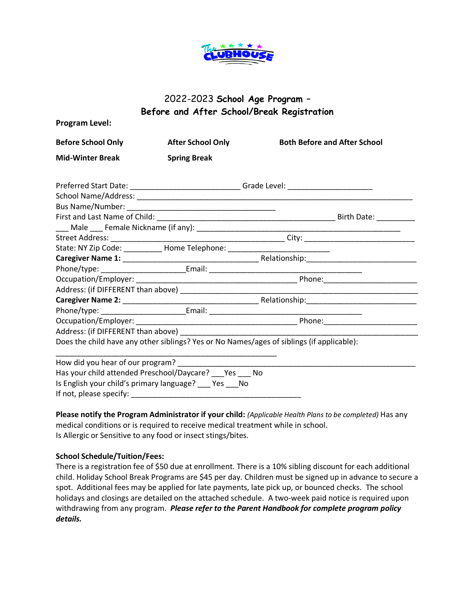

## 2022-2023 **School Age Program – Before and After School/Break Registration**

| <b>Before School Only</b> | <b>After School Only</b>                                                         | <b>Both Before and After School</b>                                                       |
|---------------------------|----------------------------------------------------------------------------------|-------------------------------------------------------------------------------------------|
| <b>Mid-Winter Break</b>   | <b>Spring Break</b>                                                              |                                                                                           |
|                           |                                                                                  | Preferred Start Date: _____________________________Grade Level: ________________          |
|                           |                                                                                  |                                                                                           |
|                           |                                                                                  |                                                                                           |
|                           |                                                                                  |                                                                                           |
|                           |                                                                                  |                                                                                           |
|                           |                                                                                  |                                                                                           |
|                           | State: NY Zip Code: ___________ Home Telephone: ________________________________ |                                                                                           |
|                           |                                                                                  |                                                                                           |
|                           |                                                                                  |                                                                                           |
|                           |                                                                                  |                                                                                           |
|                           |                                                                                  |                                                                                           |
|                           |                                                                                  |                                                                                           |
|                           |                                                                                  |                                                                                           |
|                           |                                                                                  |                                                                                           |
|                           |                                                                                  |                                                                                           |
|                           |                                                                                  | Does the child have any other siblings? Yes or No Names/ages of siblings (if applicable): |
|                           |                                                                                  |                                                                                           |
|                           |                                                                                  |                                                                                           |
|                           | Has your child attended Preschool/Daycare? Yes No                                |                                                                                           |
|                           | Is English your child's primary language? __ Yes __ No                           |                                                                                           |
|                           |                                                                                  |                                                                                           |

**Please notify the Program Administrator if your child:** *(Applicable Health Plans to be completed)* Has any medical conditions or is required to receive medical treatment while in school. Is Allergic or Sensitive to any food or insect stings/bites.

## **School Schedule/Tuition/Fees:**

There is a registration fee of \$50 due at enrollment. There is a 10% sibling discount for each additional child. Holiday School Break Programs are \$45 per day. Children must be signed up in advance to secure a spot. Additional fees may be applied for late payments, late pick up, or bounced checks. The school holidays and closings are detailed on the attached schedule. A two-week paid notice is required upon withdrawing from any program. *Please refer to the Parent Handbook for complete program policy details.*